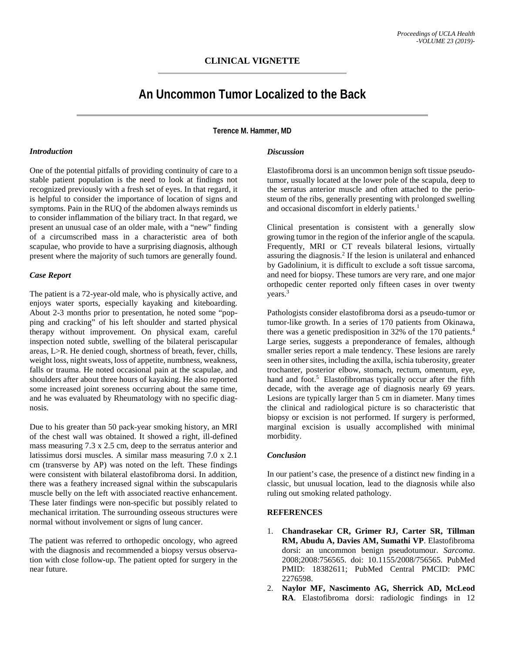# **CLINICAL VIGNETTE**

# **An Uncommon Tumor Localized to the Back**

**Terence M. Hammer, MD**

#### *Introduction*

One of the potential pitfalls of providing continuity of care to a stable patient population is the need to look at findings not recognized previously with a fresh set of eyes. In that regard, it is helpful to consider the importance of location of signs and symptoms. Pain in the RUQ of the abdomen always reminds us to consider inflammation of the biliary tract. In that regard, we present an unusual case of an older male, with a "new" finding of a circumscribed mass in a characteristic area of both scapulae, who provide to have a surprising diagnosis, although present where the majority of such tumors are generally found.

### *Case Report*

The patient is a 72-year-old male, who is physically active, and enjoys water sports, especially kayaking and kiteboarding. About 2-3 months prior to presentation, he noted some "popping and cracking" of his left shoulder and started physical therapy without improvement. On physical exam, careful inspection noted subtle, swelling of the bilateral periscapular areas, L>R. He denied cough, shortness of breath, fever, chills, weight loss, night sweats, loss of appetite, numbness, weakness, falls or trauma. He noted occasional pain at the scapulae, and shoulders after about three hours of kayaking. He also reported some increased joint soreness occurring about the same time, and he was evaluated by Rheumatology with no specific diagnosis.

Due to his greater than 50 pack-year smoking history, an MRI of the chest wall was obtained. It showed a right, ill-defined mass measuring 7.3 x 2.5 cm, deep to the serratus anterior and latissimus dorsi muscles. A similar mass measuring 7.0 x 2.1 cm (transverse by AP) was noted on the left. These findings were consistent with bilateral elastofibroma dorsi. In addition, there was a feathery increased signal within the subscapularis muscle belly on the left with associated reactive enhancement. These later findings were non-specific but possibly related to mechanical irritation. The surrounding osseous structures were normal without involvement or signs of lung cancer.

The patient was referred to orthopedic oncology, who agreed with the diagnosis and recommended a biopsy versus observation with close follow-up. The patient opted for surgery in the near future.

### *Discussion*

Elastofibroma dorsi is an uncommon benign soft tissue pseudotumor, usually located at the lower pole of the scapula, deep to the serratus anterior muscle and often attached to the periosteum of the ribs, generally presenting with prolonged swelling and occasional discomfort in elderly patients.<sup>1</sup>

Clinical presentation is consistent with a generally slow growing tumor in the region of the inferior angle of the scapula. Frequently, MRI or CT reveals bilateral lesions, virtually assuring the diagnosis.2 If the lesion is unilateral and enhanced by Gadolinium, it is difficult to exclude a soft tissue sarcoma, and need for biopsy. These tumors are very rare, and one major orthopedic center reported only fifteen cases in over twenty years.<sup>3</sup>

Pathologists consider elastofibroma dorsi as a pseudo-tumor or tumor-like growth. In a series of 170 patients from Okinawa, there was a genetic predisposition in 32% of the 170 patients.4 Large series, suggests a preponderance of females, although smaller series report a male tendency. These lesions are rarely seen in other sites, including the axilla, ischia tuberosity, greater trochanter, posterior elbow, stomach, rectum, omentum, eye, hand and foot. $5$  Elastofibromas typically occur after the fifth decade, with the average age of diagnosis nearly 69 years. Lesions are typically larger than 5 cm in diameter. Many times the clinical and radiological picture is so characteristic that biopsy or excision is not performed. If surgery is performed, marginal excision is usually accomplished with minimal morbidity.

#### *Conclusion*

In our patient's case, the presence of a distinct new finding in a classic, but unusual location, lead to the diagnosis while also ruling out smoking related pathology.

## **REFERENCES**

- 1. **Chandrasekar CR, Grimer RJ, Carter SR, Tillman RM, Abudu A, Davies AM, Sumathi VP**. Elastofibroma dorsi: an uncommon benign pseudotumour. *Sarcoma*. 2008;2008:756565. doi: 10.1155/2008/756565. PubMed PMID: 18382611; PubMed Central PMCID: PMC 2276598.
- 2. **Naylor MF, Nascimento AG, Sherrick AD, McLeod RA**. Elastofibroma dorsi: radiologic findings in 12